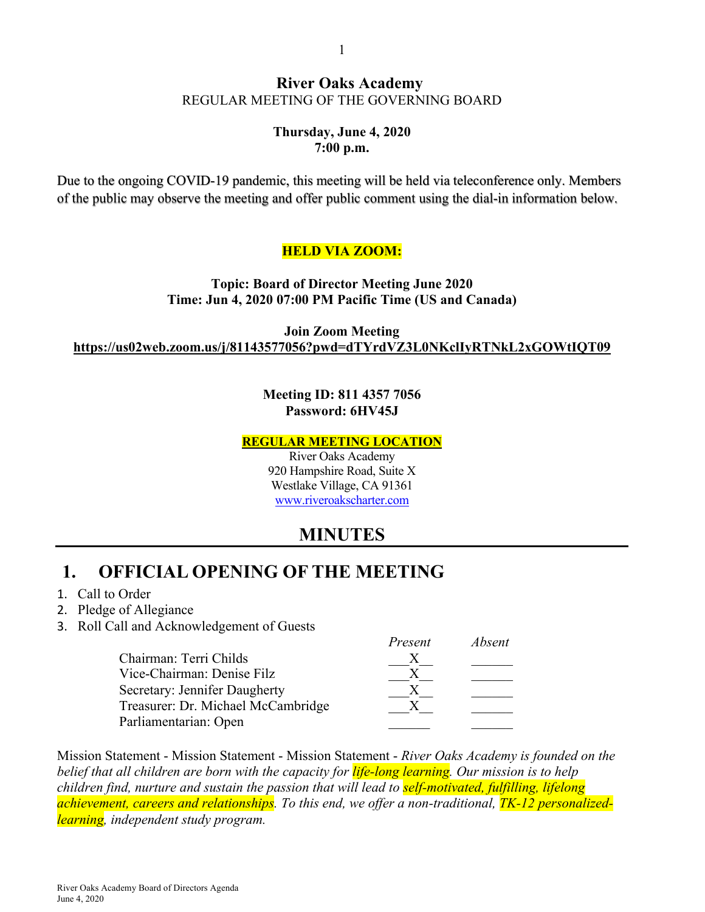#### 1

## **River Oaks Academy** REGULAR MEETING OF THE GOVERNING BOARD

## **Thursday, June 4, 2020 7:00 p.m.**

Due to the ongoing COVID-19 pandemic, this meeting will be held via teleconference only. Members of the public may observe the meeting and offer public comment using the dial-in information below.

## **HELD VIA ZOOM:**

**Topic: Board of Director Meeting June 2020 Time: Jun 4, 2020 07:00 PM Pacific Time (US and Canada)**

**Join Zoom Meeting https://us02web.zoom.us/j/81143577056?pwd=dTYrdVZ3L0NKclIyRTNkL2xGOWtIQT09**

## **Meeting ID: 811 4357 7056 Password: 6HV45J**

### **REGULAR MEETING LOCATION**

River Oaks Academy 920 Hampshire Road, Suite X Westlake Village, CA 91361 www.riveroakscharter.com

# **MINUTES**

*Present Absent*

# **1. OFFICIAL OPENING OF THE MEETING**

- 1. Call to Order
- 2. Pledge of Allegiance
- 3. Roll Call and Acknowledgement of Guests

| 1 reseni | AUSENI |
|----------|--------|
|          |        |
|          |        |
|          |        |
|          |        |
|          |        |
|          |        |

Mission Statement - Mission Statement - Mission Statement - *River Oaks Academy is founded on the belief that all children are born with the capacity for life-long learning. Our mission is to help children find, nurture and sustain the passion that will lead to self-motivated, fulfilling, lifelong achievement, careers and relationships. To this end, we offer a non-traditional, TK-12 personalizedlearning, independent study program.*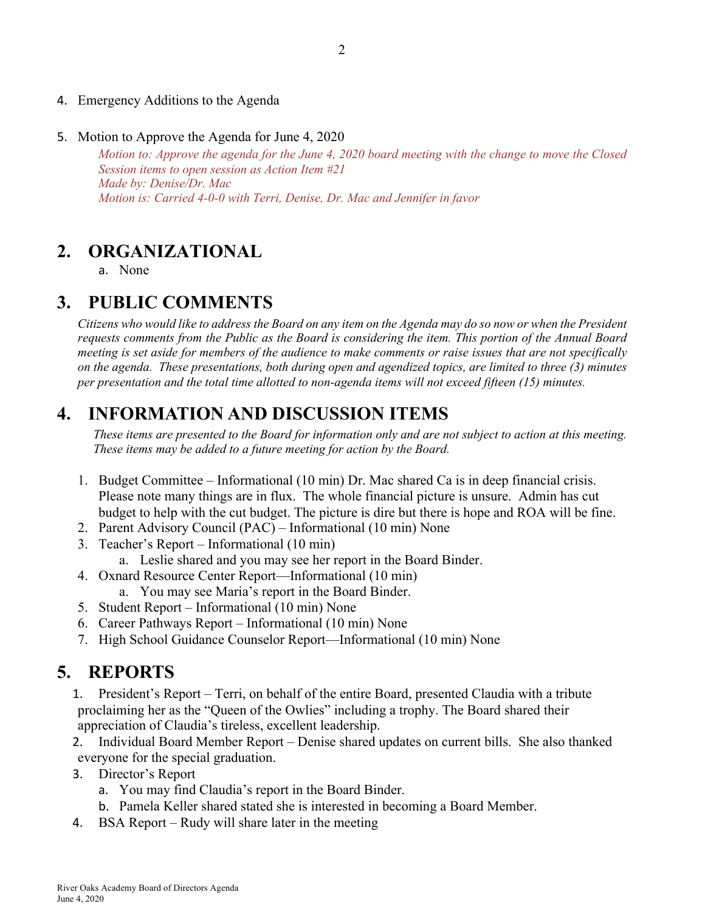- 4. Emergency Additions to the Agenda
- 5. Motion to Approve the Agenda for June 4, 2020

*Motion to: Approve the agenda for the June 4, 2020 board meeting with the change to move the Closed Session items to open session as Action Item #21 Made by: Denise/Dr. Mac Motion is: Carried 4-0-0 with Terri, Denise, Dr. Mac and Jennifer in favor*

# **2. ORGANIZATIONAL**

a. None

# **3. PUBLIC COMMENTS**

*Citizens who would like to address the Board on any item on the Agenda may do so now or when the President requests comments from the Public as the Board is considering the item. This portion of the Annual Board meeting is set aside for members of the audience to make comments or raise issues that are not specifically on the agenda. These presentations, both during open and agendized topics, are limited to three (3) minutes per presentation and the total time allotted to non-agenda items will not exceed fifteen (15) minutes.*

# **4. INFORMATION AND DISCUSSION ITEMS**

*These items are presented to the Board for information only and are not subject to action at this meeting. These items may be added to a future meeting for action by the Board.*

- 1. Budget Committee Informational (10 min) Dr. Mac shared Ca is in deep financial crisis. Please note many things are in flux. The whole financial picture is unsure. Admin has cut budget to help with the cut budget. The picture is dire but there is hope and ROA will be fine.
- 2. Parent Advisory Council (PAC) Informational (10 min) None
- 3. Teacher's Report Informational (10 min)
	- a. Leslie shared and you may see her report in the Board Binder.
- 4. Oxnard Resource Center Report—Informational (10 min)
	- a. You may see Maria's report in the Board Binder.
- 5. Student Report Informational (10 min) None
- 6. Career Pathways Report Informational (10 min) None
- 7. High School Guidance Counselor Report—Informational (10 min) None

# **5. REPORTS**

1. President's Report – Terri, on behalf of the entire Board, presented Claudia with a tribute proclaiming her as the "Queen of the Owlies" including a trophy. The Board shared their appreciation of Claudia's tireless, excellent leadership.

2. Individual Board Member Report – Denise shared updates on current bills. She also thanked everyone for the special graduation.

- 3. Director's Report
	- a. You may find Claudia's report in the Board Binder.
	- b. Pamela Keller shared stated she is interested in becoming a Board Member.
- 4. BSA Report Rudy will share later in the meeting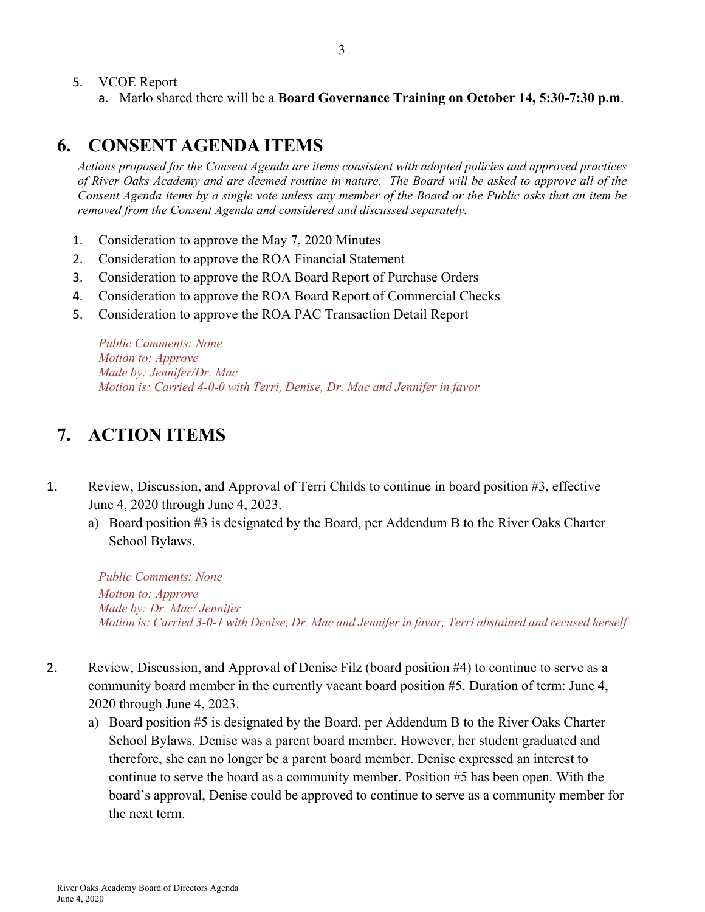- 5. VCOE Report
	- a. Marlo shared there will be a **Board Governance Training on October 14, 5:30-7:30 p.m**.

## **6. CONSENT AGENDA ITEMS**

*Actions proposed for the Consent Agenda are items consistent with adopted policies and approved practices of River Oaks Academy and are deemed routine in nature. The Board will be asked to approve all of the Consent Agenda items by a single vote unless any member of the Board or the Public asks that an item be removed from the Consent Agenda and considered and discussed separately.*

- 1. Consideration to approve the May 7, 2020 Minutes
- 2. Consideration to approve the ROA Financial Statement
- 3. Consideration to approve the ROA Board Report of Purchase Orders
- 4. Consideration to approve the ROA Board Report of Commercial Checks
- 5. Consideration to approve the ROA PAC Transaction Detail Report

*Public Comments: None Motion to: Approve Made by: Jennifer/Dr. Mac Motion is: Carried 4-0-0 with Terri, Denise, Dr. Mac and Jennifer in favor*

# **7. ACTION ITEMS**

- 1. Review, Discussion, and Approval of Terri Childs to continue in board position #3, effective June 4, 2020 through June 4, 2023.
	- a) Board position #3 is designated by the Board, per Addendum B to the River Oaks Charter School Bylaws.

*Public Comments: None Motion to: Approve Made by: Dr. Mac/ Jennifer Motion is: Carried 3-0-1 with Denise, Dr. Mac and Jennifer in favor; Terri abstained and recused herself*

- 2. Review, Discussion, and Approval of Denise Filz (board position #4) to continue to serve as a community board member in the currently vacant board position #5. Duration of term: June 4, 2020 through June 4, 2023.
	- a) Board position #5 is designated by the Board, per Addendum B to the River Oaks Charter School Bylaws. Denise was a parent board member. However, her student graduated and therefore, she can no longer be a parent board member. Denise expressed an interest to continue to serve the board as a community member. Position #5 has been open. With the board's approval, Denise could be approved to continue to serve as a community member for the next term.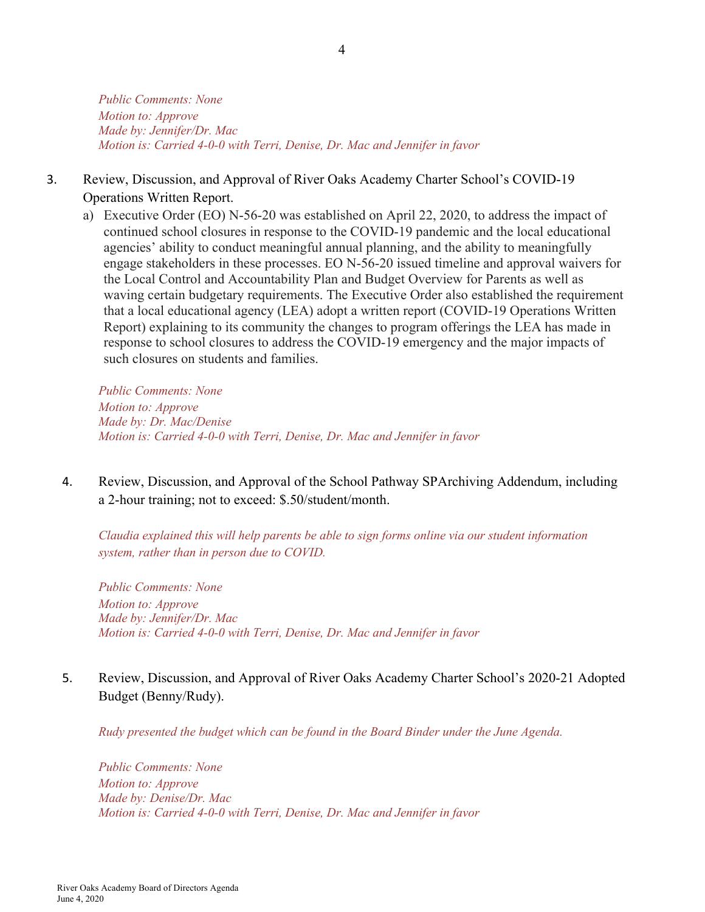*Public Comments: None Motion to: Approve Made by: Jennifer/Dr. Mac Motion is: Carried 4-0-0 with Terri, Denise, Dr. Mac and Jennifer in favor*

## 3. Review, Discussion, and Approval of River Oaks Academy Charter School's COVID-19 Operations Written Report.

a) Executive Order (EO) N-56-20 was established on April 22, 2020, to address the impact of continued school closures in response to the COVID-19 pandemic and the local educational agencies' ability to conduct meaningful annual planning, and the ability to meaningfully engage stakeholders in these processes. EO N-56-20 issued timeline and approval waivers for the Local Control and Accountability Plan and Budget Overview for Parents as well as waving certain budgetary requirements. The Executive Order also established the requirement that a local educational agency (LEA) adopt a written report (COVID-19 Operations Written Report) explaining to its community the changes to program offerings the LEA has made in response to school closures to address the COVID-19 emergency and the major impacts of such closures on students and families.

*Public Comments: None Motion to: Approve Made by: Dr. Mac/Denise Motion is: Carried 4-0-0 with Terri, Denise, Dr. Mac and Jennifer in favor*

4. Review, Discussion, and Approval of the School Pathway SPArchiving Addendum, including a 2-hour training; not to exceed: \$.50/student/month.

*Claudia explained this will help parents be able to sign forms online via our student information system, rather than in person due to COVID.* 

*Public Comments: None Motion to: Approve Made by: Jennifer/Dr. Mac Motion is: Carried 4-0-0 with Terri, Denise, Dr. Mac and Jennifer in favor*

## 5. Review, Discussion, and Approval of River Oaks Academy Charter School's 2020-21 Adopted Budget (Benny/Rudy).

*Rudy presented the budget which can be found in the Board Binder under the June Agenda.*

*Public Comments: None Motion to: Approve Made by: Denise/Dr. Mac Motion is: Carried 4-0-0 with Terri, Denise, Dr. Mac and Jennifer in favor*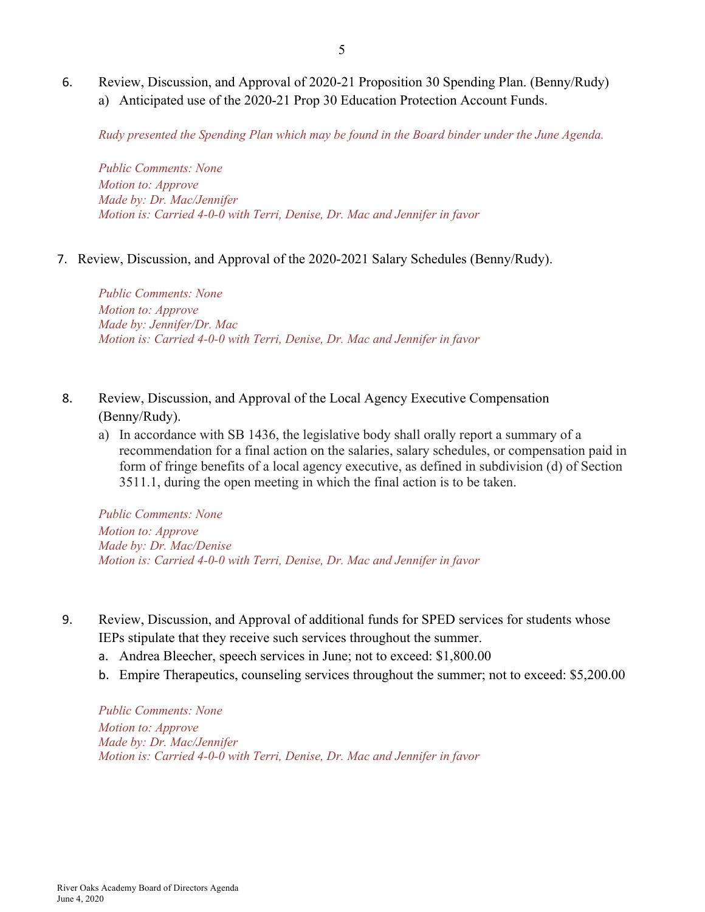6. Review, Discussion, and Approval of 2020-21 Proposition 30 Spending Plan. (Benny/Rudy) a) Anticipated use of the 2020-21 Prop 30 Education Protection Account Funds.

*Rudy presented the Spending Plan which may be found in the Board binder under the June Agenda.*

*Public Comments: None Motion to: Approve Made by: Dr. Mac/Jennifer Motion is: Carried 4-0-0 with Terri, Denise, Dr. Mac and Jennifer in favor*

7. Review, Discussion, and Approval of the 2020-2021 Salary Schedules (Benny/Rudy).

*Public Comments: None Motion to: Approve Made by: Jennifer/Dr. Mac Motion is: Carried 4-0-0 with Terri, Denise, Dr. Mac and Jennifer in favor*

- 8. Review, Discussion, and Approval of the Local Agency Executive Compensation (Benny/Rudy).
	- a) In accordance with SB 1436, the legislative body shall orally report a summary of a recommendation for a final action on the salaries, salary schedules, or compensation paid in form of fringe benefits of a local agency executive, as defined in subdivision (d) of Section 3511.1, during the open meeting in which the final action is to be taken.

*Public Comments: None Motion to: Approve Made by: Dr. Mac/Denise Motion is: Carried 4-0-0 with Terri, Denise, Dr. Mac and Jennifer in favor*

- 9. Review, Discussion, and Approval of additional funds for SPED services for students whose IEPs stipulate that they receive such services throughout the summer.
	- a. Andrea Bleecher, speech services in June; not to exceed: \$1,800.00
	- b. Empire Therapeutics, counseling services throughout the summer; not to exceed: \$5,200.00

*Public Comments: None Motion to: Approve Made by: Dr. Mac/Jennifer Motion is: Carried 4-0-0 with Terri, Denise, Dr. Mac and Jennifer in favor*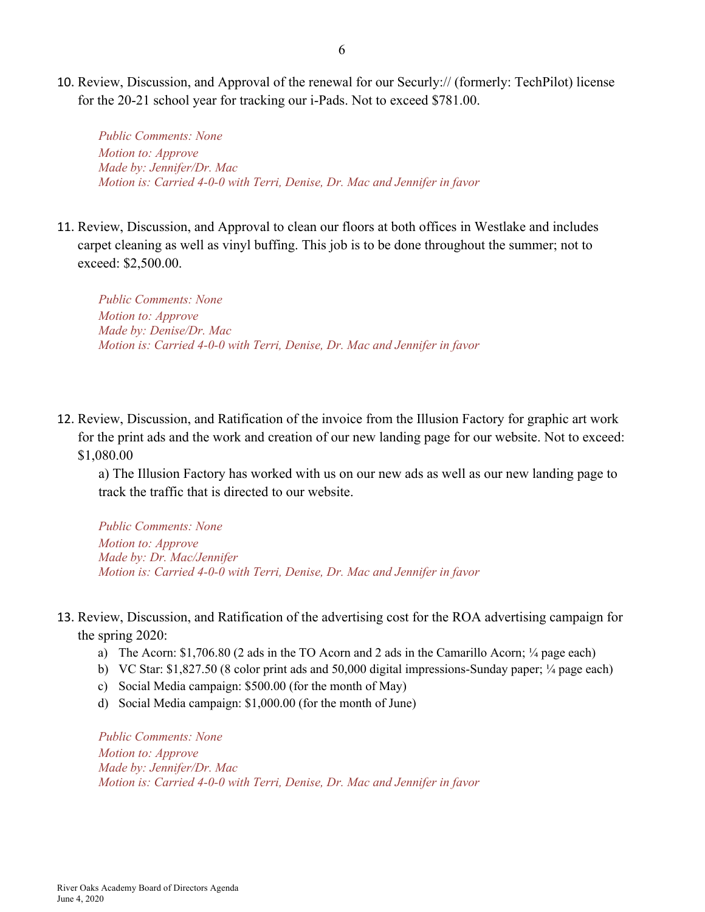10. Review, Discussion, and Approval of the renewal for our Securly:// (formerly: TechPilot) license for the 20-21 school year for tracking our i-Pads. Not to exceed \$781.00.

*Public Comments: None Motion to: Approve Made by: Jennifer/Dr. Mac Motion is: Carried 4-0-0 with Terri, Denise, Dr. Mac and Jennifer in favor*

11. Review, Discussion, and Approval to clean our floors at both offices in Westlake and includes carpet cleaning as well as vinyl buffing. This job is to be done throughout the summer; not to exceed: \$2,500.00.

*Public Comments: None Motion to: Approve Made by: Denise/Dr. Mac Motion is: Carried 4-0-0 with Terri, Denise, Dr. Mac and Jennifer in favor*

12. Review, Discussion, and Ratification of the invoice from the Illusion Factory for graphic art work for the print ads and the work and creation of our new landing page for our website. Not to exceed: \$1,080.00

a) The Illusion Factory has worked with us on our new ads as well as our new landing page to track the traffic that is directed to our website.

*Public Comments: None Motion to: Approve Made by: Dr. Mac/Jennifer Motion is: Carried 4-0-0 with Terri, Denise, Dr. Mac and Jennifer in favor*

- 13. Review, Discussion, and Ratification of the advertising cost for the ROA advertising campaign for the spring 2020:
	- a) The Acorn: \$1,706.80 (2 ads in the TO Acorn and 2 ads in the Camarillo Acorn; ¼ page each)
	- b) VC Star: \$1,827.50 (8 color print ads and 50,000 digital impressions-Sunday paper; ¼ page each)
	- c) Social Media campaign: \$500.00 (for the month of May)
	- d) Social Media campaign: \$1,000.00 (for the month of June)

*Public Comments: None Motion to: Approve Made by: Jennifer/Dr. Mac Motion is: Carried 4-0-0 with Terri, Denise, Dr. Mac and Jennifer in favor*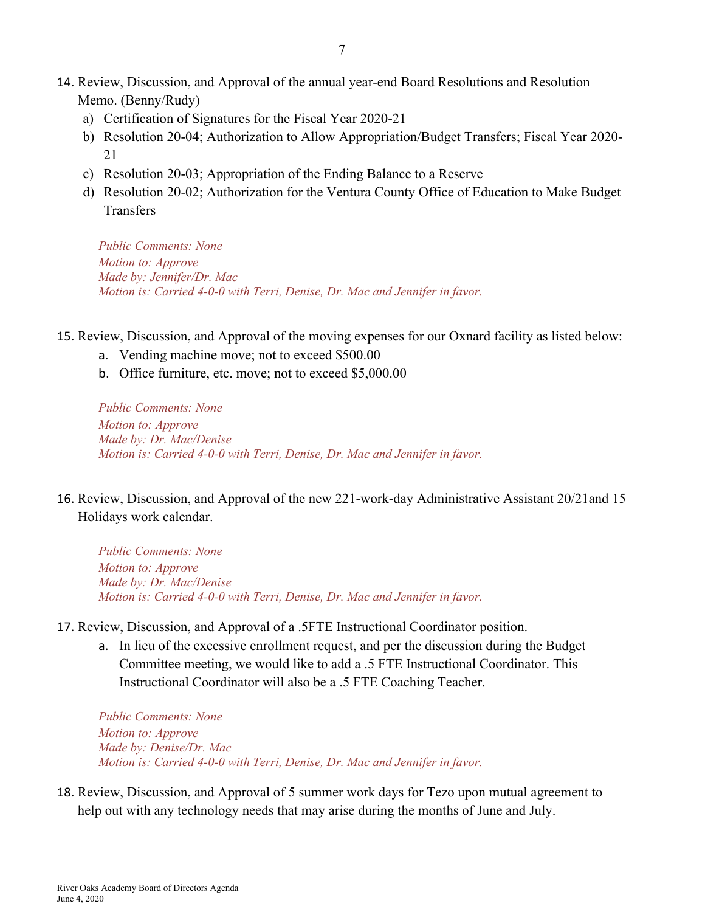- 14. Review, Discussion, and Approval of the annual year-end Board Resolutions and Resolution Memo. (Benny/Rudy)
	- a) Certification of Signatures for the Fiscal Year 2020-21
	- b) Resolution 20-04; Authorization to Allow Appropriation/Budget Transfers; Fiscal Year 2020- 21
	- c) Resolution 20-03; Appropriation of the Ending Balance to a Reserve
	- d) Resolution 20-02; Authorization for the Ventura County Office of Education to Make Budget Transfers

*Public Comments: None Motion to: Approve Made by: Jennifer/Dr. Mac Motion is: Carried 4-0-0 with Terri, Denise, Dr. Mac and Jennifer in favor.*

- 15. Review, Discussion, and Approval of the moving expenses for our Oxnard facility as listed below:
	- a. Vending machine move; not to exceed \$500.00
	- b. Office furniture, etc. move; not to exceed \$5,000.00

*Public Comments: None Motion to: Approve Made by: Dr. Mac/Denise Motion is: Carried 4-0-0 with Terri, Denise, Dr. Mac and Jennifer in favor.*

16. Review, Discussion, and Approval of the new 221-work-day Administrative Assistant 20/21and 15 Holidays work calendar.

*Public Comments: None Motion to: Approve Made by: Dr. Mac/Denise Motion is: Carried 4-0-0 with Terri, Denise, Dr. Mac and Jennifer in favor.*

- 17. Review, Discussion, and Approval of a .5FTE Instructional Coordinator position.
	- a. In lieu of the excessive enrollment request, and per the discussion during the Budget Committee meeting, we would like to add a .5 FTE Instructional Coordinator. This Instructional Coordinator will also be a .5 FTE Coaching Teacher.

*Public Comments: None Motion to: Approve Made by: Denise/Dr. Mac Motion is: Carried 4-0-0 with Terri, Denise, Dr. Mac and Jennifer in favor.*

18. Review, Discussion, and Approval of 5 summer work days for Tezo upon mutual agreement to help out with any technology needs that may arise during the months of June and July.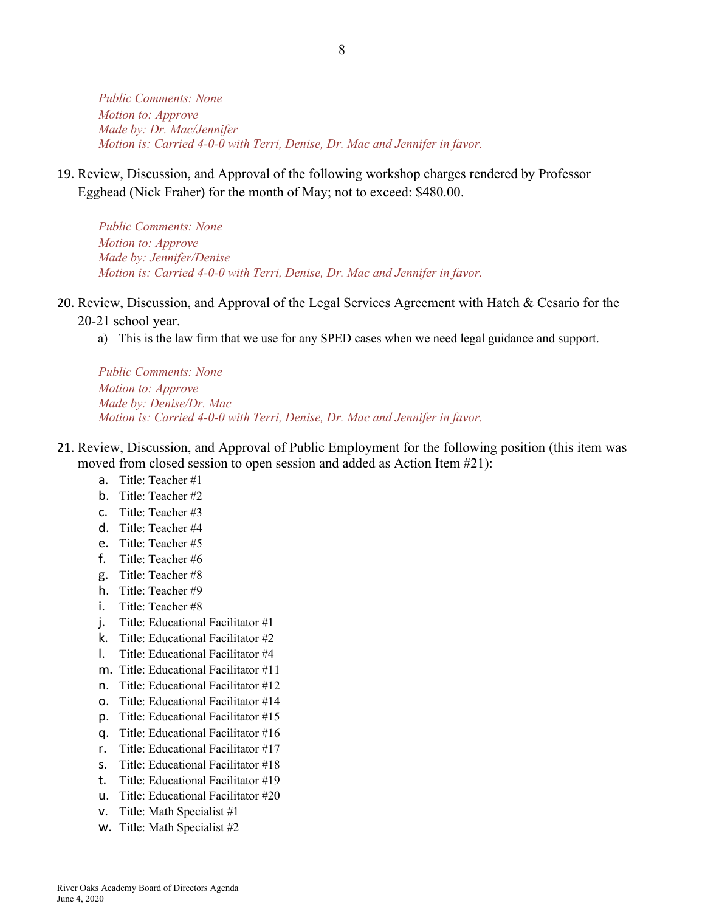*Public Comments: None Motion to: Approve Made by: Dr. Mac/Jennifer Motion is: Carried 4-0-0 with Terri, Denise, Dr. Mac and Jennifer in favor.*

19. Review, Discussion, and Approval of the following workshop charges rendered by Professor Egghead (Nick Fraher) for the month of May; not to exceed: \$480.00.

*Public Comments: None Motion to: Approve Made by: Jennifer/Denise Motion is: Carried 4-0-0 with Terri, Denise, Dr. Mac and Jennifer in favor.*

20. Review, Discussion, and Approval of the Legal Services Agreement with Hatch & Cesario for the

20-21 school year.

a) This is the law firm that we use for any SPED cases when we need legal guidance and support.

*Public Comments: None Motion to: Approve Made by: Denise/Dr. Mac Motion is: Carried 4-0-0 with Terri, Denise, Dr. Mac and Jennifer in favor.*

- 21. Review, Discussion, and Approval of Public Employment for the following position (this item was moved from closed session to open session and added as Action Item #21):
	- a. Title: Teacher #1
	- b. Title: Teacher #2
	- c. Title: Teacher #3
	- d. Title: Teacher #4
	- e. Title: Teacher #5
	- f. Title: Teacher #6
	- g. Title: Teacher #8
	- h. Title: Teacher #9
	- i. Title: Teacher #8
	- j. Title: Educational Facilitator #1
	- k. Title: Educational Facilitator #2
	- l. Title: Educational Facilitator #4
	- m. Title: Educational Facilitator #11
	- n. Title: Educational Facilitator #12
	- o. Title: Educational Facilitator #14
	- p. Title: Educational Facilitator #15
	- q. Title: Educational Facilitator #16
	- r. Title: Educational Facilitator #17
	- s. Title: Educational Facilitator #18
	- t. Title: Educational Facilitator #19
	- u. Title: Educational Facilitator #20
	- v. Title: Math Specialist #1
	- w. Title: Math Specialist #2